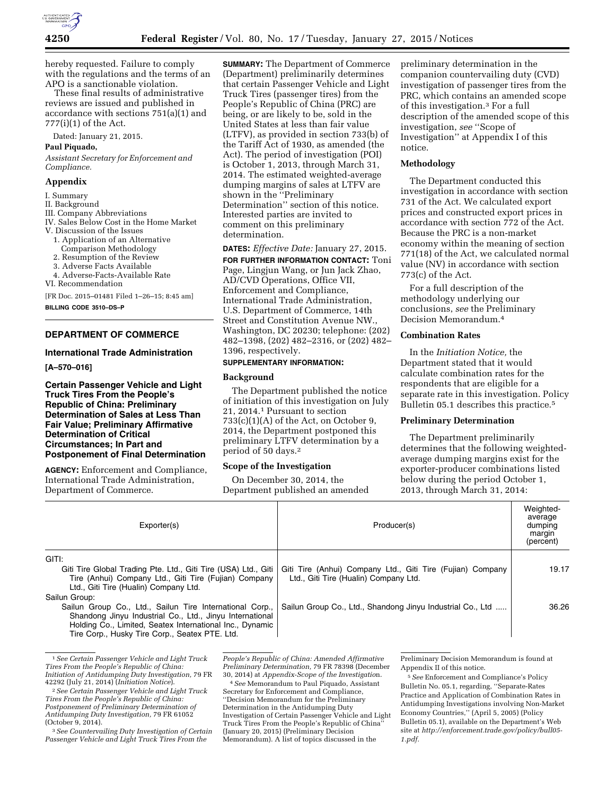

hereby requested. Failure to comply with the regulations and the terms of an APO is a sanctionable violation.

These final results of administrative reviews are issued and published in accordance with sections 751(a)(1) and 777(i)(1) of the Act.

Dated: January 21, 2015.

## **Paul Piquado,**

*Assistant Secretary for Enforcement and Compliance.* 

#### **Appendix**

## I. Summary

- II. Background
- III. Company Abbreviations
- IV. Sales Below Cost in the Home Market
- V. Discussion of the Issues
- 1. Application of an Alternative
- Comparison Methodology
- 2. Resumption of the Review
- 3. Adverse Facts Available
- 4. Adverse-Facts-Available Rate

VI. Recommendation

[FR Doc. 2015–01481 Filed 1–26–15; 8:45 am] **BILLING CODE 3510–DS–P** 

# **DEPARTMENT OF COMMERCE**

## **International Trade Administration**

**[A–570–016]** 

**Certain Passenger Vehicle and Light Truck Tires From the People's Republic of China: Preliminary Determination of Sales at Less Than Fair Value; Preliminary Affirmative Determination of Critical Circumstances; In Part and Postponement of Final Determination** 

**AGENCY:** Enforcement and Compliance, International Trade Administration, Department of Commerce.

**SUMMARY:** The Department of Commerce (Department) preliminarily determines that certain Passenger Vehicle and Light Truck Tires (passenger tires) from the People's Republic of China (PRC) are being, or are likely to be, sold in the United States at less than fair value (LTFV), as provided in section 733(b) of the Tariff Act of 1930, as amended (the Act). The period of investigation (POI) is October 1, 2013, through March 31, 2014. The estimated weighted-average dumping margins of sales at LTFV are shown in the ''Preliminary Determination'' section of this notice. Interested parties are invited to comment on this preliminary determination.

**DATES:** *Effective Date:* January 27, 2015.

**FOR FURTHER INFORMATION CONTACT:** Toni Page, Lingjun Wang, or Jun Jack Zhao, AD/CVD Operations, Office VII, Enforcement and Compliance, International Trade Administration, U.S. Department of Commerce, 14th Street and Constitution Avenue NW., Washington, DC 20230; telephone: (202) 482–1398, (202) 482–2316, or (202) 482– 1396, respectively.

# **SUPPLEMENTARY INFORMATION:**

## **Background**

The Department published the notice of initiation of this investigation on July 21, 2014.1 Pursuant to section  $733(c)(1)(A)$  of the Act, on October 9, 2014, the Department postponed this preliminary LTFV determination by a period of 50 days.2

## **Scope of the Investigation**

On December 30, 2014, the Department published an amended preliminary determination in the companion countervailing duty (CVD) investigation of passenger tires from the PRC, which contains an amended scope of this investigation.3 For a full description of the amended scope of this investigation, *see* ''Scope of Investigation'' at Appendix I of this notice.

## **Methodology**

The Department conducted this investigation in accordance with section 731 of the Act. We calculated export prices and constructed export prices in accordance with section 772 of the Act. Because the PRC is a non-market economy within the meaning of section 771(18) of the Act, we calculated normal value (NV) in accordance with section 773(c) of the Act.

For a full description of the methodology underlying our conclusions, *see* the Preliminary Decision Memorandum.4

# **Combination Rates**

In the *Initiation Notice,* the Department stated that it would calculate combination rates for the respondents that are eligible for a separate rate in this investigation. Policy Bulletin 05.1 describes this practice.<sup>5</sup>

# **Preliminary Determination**

The Department preliminarily determines that the following weightedaverage dumping margins exist for the exporter-producer combinations listed below during the period October 1, 2013, through March 31, 2014:

| Exporter(s)                                                                                    | Producer(s)                                                | Weighted-<br>average<br>dumping<br>margin<br>(percent) |
|------------------------------------------------------------------------------------------------|------------------------------------------------------------|--------------------------------------------------------|
| GITI:                                                                                          |                                                            |                                                        |
| Giti Tire Global Trading Pte. Ltd., Giti Tire (USA) Ltd., Giti                                 | Giti Tire (Anhui) Company Ltd., Giti Tire (Fujian) Company | 19.17                                                  |
| Tire (Anhui) Company Ltd., Giti Tire (Fujian) Company<br>Ltd., Giti Tire (Hualin) Company Ltd. | Ltd., Giti Tire (Hualin) Company Ltd.                      |                                                        |
| Sailun Group:                                                                                  |                                                            |                                                        |
| Sailun Group Co., Ltd., Sailun Tire International Corp.,                                       | Sailun Group Co., Ltd., Shandong Jinyu Industrial Co., Ltd | 36.26                                                  |
| Shandong Jinyu Industrial Co., Ltd., Jinyu International                                       |                                                            |                                                        |
| Holding Co., Limited, Seatex International Inc., Dynamic                                       |                                                            |                                                        |
| Tire Corp., Husky Tire Corp., Seatex PTE. Ltd.                                                 |                                                            |                                                        |

<sup>1</sup>*See Certain Passenger Vehicle and Light Truck Tires From the People's Republic of China: Initiation of Antidumping Duty Investigation,* 79 FR

3*See Countervailing Duty Investigation of Certain Passenger Vehicle and Light Truck Tires From the* 

*People's Republic of China: Amended Affirmative Preliminary Determination,* 79 FR 78398 (December 30, 2014) at *Appendix-Scope of the Investigatio*n.

4*See* Memorandum to Paul Piquado, Assistant Secretary for Enforcement and Compliance, ''Decision Memorandum for the Preliminary Determination in the Antidumping Duty Investigation of Certain Passenger Vehicle and Light Truck Tires From the People's Republic of China' (January 20, 2015) (Preliminary Decision Memorandum). A list of topics discussed in the

Preliminary Decision Memorandum is found at Appendix II of this notice.

5*See* Enforcement and Compliance's Policy Bulletin No. 05.1, regarding, ''Separate-Rates Practice and Application of Combination Rates in Antidumping Investigations involving Non-Market Economy Countries,'' (April 5, 2005) (Policy Bulletin 05.1), available on the Department's Web site at *[http://enforcement.trade.gov/policy/bull05-](http://enforcement.trade.gov/policy/bull05-1.pdf) [1.pdf.](http://enforcement.trade.gov/policy/bull05-1.pdf)* 

<sup>42292 (</sup>July 21, 2014) (*Initiation Notice*). 2*See Certain Passenger Vehicle and Light Truck Tires From the People's Republic of China: Postponement of Preliminary Determination of Antidumping Duty Investigation,* 79 FR 61052 (October 9, 2014).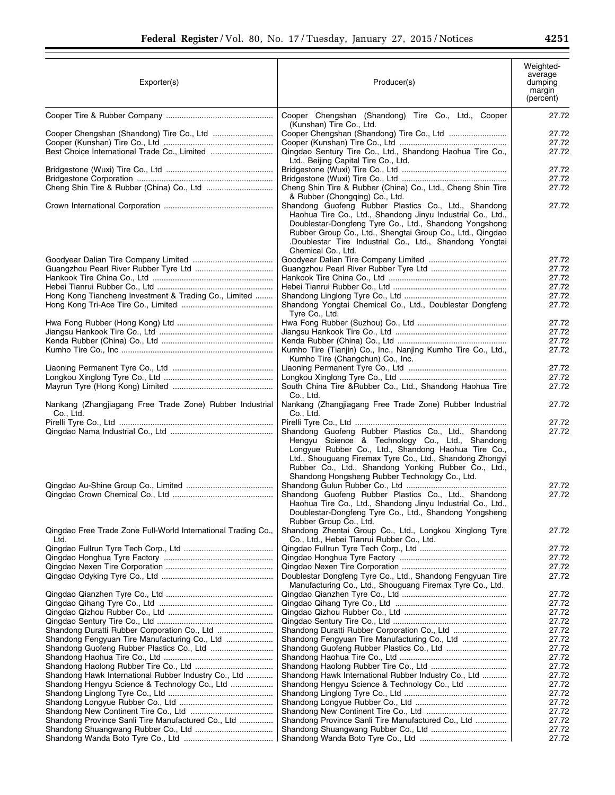| Exporter(s)                                                           | Producer(s)                                                                                                                                                                                                                                                                                                                          | Weighted-<br>average<br>dumping<br>margin<br>(percent) |
|-----------------------------------------------------------------------|--------------------------------------------------------------------------------------------------------------------------------------------------------------------------------------------------------------------------------------------------------------------------------------------------------------------------------------|--------------------------------------------------------|
|                                                                       | Cooper Chengshan (Shandong) Tire Co., Ltd., Cooper<br>(Kunshan) Tire Co., Ltd.                                                                                                                                                                                                                                                       | 27.72                                                  |
|                                                                       |                                                                                                                                                                                                                                                                                                                                      | 27.72                                                  |
|                                                                       |                                                                                                                                                                                                                                                                                                                                      | 27.72                                                  |
|                                                                       | Qingdao Sentury Tire Co., Ltd., Shandong Haohua Tire Co.,<br>Ltd., Beijing Capital Tire Co., Ltd.                                                                                                                                                                                                                                    | 27.72                                                  |
|                                                                       |                                                                                                                                                                                                                                                                                                                                      | 27.72                                                  |
|                                                                       |                                                                                                                                                                                                                                                                                                                                      | 27.72                                                  |
|                                                                       | Cheng Shin Tire & Rubber (China) Co., Ltd., Cheng Shin Tire<br>& Rubber (Chongqing) Co., Ltd.                                                                                                                                                                                                                                        | 27.72                                                  |
|                                                                       | Shandong Guofeng Rubber Plastics Co., Ltd., Shandong<br>Haohua Tire Co., Ltd., Shandong Jinyu Industrial Co., Ltd.,<br>Doublestar-Dongfeng Tyre Co., Ltd., Shandong Yongshong<br>Rubber Group Co., Ltd., Shengtai Group Co., Ltd., Qingdao<br>.Doublestar Tire Industrial Co., Ltd., Shandong Yongtai<br>Chemical Co., Ltd.          | 27.72                                                  |
|                                                                       |                                                                                                                                                                                                                                                                                                                                      | 27.72                                                  |
|                                                                       |                                                                                                                                                                                                                                                                                                                                      | 27.72<br>27.72                                         |
|                                                                       |                                                                                                                                                                                                                                                                                                                                      | 27.72                                                  |
| Hong Kong Tiancheng Investment & Trading Co., Limited                 |                                                                                                                                                                                                                                                                                                                                      | 27.72                                                  |
|                                                                       | Shandong Yongtai Chemical Co., Ltd., Doublestar Dongfeng<br>Tyre Co., Ltd.                                                                                                                                                                                                                                                           | 27.72                                                  |
|                                                                       |                                                                                                                                                                                                                                                                                                                                      | 27.72                                                  |
|                                                                       |                                                                                                                                                                                                                                                                                                                                      | 27.72<br>27.72                                         |
|                                                                       | Kumho Tire (Tianjin) Co., Inc., Nanjing Kumho Tire Co., Ltd.,                                                                                                                                                                                                                                                                        | 27.72                                                  |
|                                                                       | Kumho Tire (Changchun) Co., Inc.                                                                                                                                                                                                                                                                                                     |                                                        |
|                                                                       |                                                                                                                                                                                                                                                                                                                                      | 27.72<br>27.72                                         |
|                                                                       | South China Tire & Rubber Co., Ltd., Shandong Haohua Tire                                                                                                                                                                                                                                                                            | 27.72                                                  |
| Nankang (Zhangjiagang Free Trade Zone) Rubber Industrial              | Co., Ltd.<br>Nankang (Zhangjiagang Free Trade Zone) Rubber Industrial                                                                                                                                                                                                                                                                | 27.72                                                  |
| Co., Ltd.                                                             | Co., Ltd.                                                                                                                                                                                                                                                                                                                            |                                                        |
|                                                                       |                                                                                                                                                                                                                                                                                                                                      | 27.72                                                  |
|                                                                       | Shandong Guofeng Rubber Plastics Co., Ltd., Shandong<br>Hengyu Science & Technology Co., Ltd., Shandong<br>Longyue Rubber Co., Ltd., Shandong Haohua Tire Co.,<br>Ltd., Shouguang Firemax Tyre Co., Ltd., Shandong Zhongyi<br>Rubber Co., Ltd., Shandong Yonking Rubber Co., Ltd.,<br>Shandong Hongsheng Rubber Technology Co., Ltd. | 27.72                                                  |
|                                                                       | Shandong Guofeng Rubber Plastics Co., Ltd., Shandong                                                                                                                                                                                                                                                                                 | 27.72<br>27.72                                         |
|                                                                       | Haohua Tire Co., Ltd., Shandong Jinyu Industrial Co., Ltd.,<br>Doublestar-Dongfeng Tyre Co., Ltd., Shandong Yongsheng<br>Rubber Group Co., Ltd.                                                                                                                                                                                      |                                                        |
| Qingdao Free Trade Zone Full-World International Trading Co.,<br>Ltd. | Shandong Zhentai Group Co., Ltd., Longkou Xinglong Tyre<br>Co., Ltd., Hebei Tianrui Rubber Co., Ltd.                                                                                                                                                                                                                                 | 27.72                                                  |
|                                                                       |                                                                                                                                                                                                                                                                                                                                      | 27.72                                                  |
|                                                                       |                                                                                                                                                                                                                                                                                                                                      | 27.72<br>27.72                                         |
|                                                                       | Doublestar Dongfeng Tyre Co., Ltd., Shandong Fengyuan Tire<br>Manufacturing Co., Ltd., Shouguang Firemax Tyre Co., Ltd.                                                                                                                                                                                                              | 27.72                                                  |
|                                                                       |                                                                                                                                                                                                                                                                                                                                      | 27.72                                                  |
|                                                                       |                                                                                                                                                                                                                                                                                                                                      | 27.72                                                  |
|                                                                       |                                                                                                                                                                                                                                                                                                                                      | 27.72                                                  |
|                                                                       |                                                                                                                                                                                                                                                                                                                                      | 27.72<br>27.72                                         |
|                                                                       | Shandong Fengyuan Tire Manufacturing Co., Ltd                                                                                                                                                                                                                                                                                        | 27.72                                                  |
|                                                                       |                                                                                                                                                                                                                                                                                                                                      | 27.72                                                  |
|                                                                       |                                                                                                                                                                                                                                                                                                                                      | 27.72                                                  |
| Shandong Hawk International Rubber Industry Co., Ltd                  | Shandong Hawk International Rubber Industry Co., Ltd                                                                                                                                                                                                                                                                                 | 27.72<br>27.72                                         |
| Shandong Hengyu Science & Technology Co., Ltd                         | Shandong Hengyu Science & Technology Co., Ltd                                                                                                                                                                                                                                                                                        | 27.72                                                  |
|                                                                       |                                                                                                                                                                                                                                                                                                                                      | 27.72                                                  |
|                                                                       |                                                                                                                                                                                                                                                                                                                                      | 27.72                                                  |
|                                                                       |                                                                                                                                                                                                                                                                                                                                      | 27.72                                                  |
| Shandong Province Sanli Tire Manufactured Co., Ltd                    | Shandong Province Sanli Tire Manufactured Co., Ltd                                                                                                                                                                                                                                                                                   | 27.72                                                  |
|                                                                       |                                                                                                                                                                                                                                                                                                                                      | 27.72<br>27.72                                         |
|                                                                       |                                                                                                                                                                                                                                                                                                                                      |                                                        |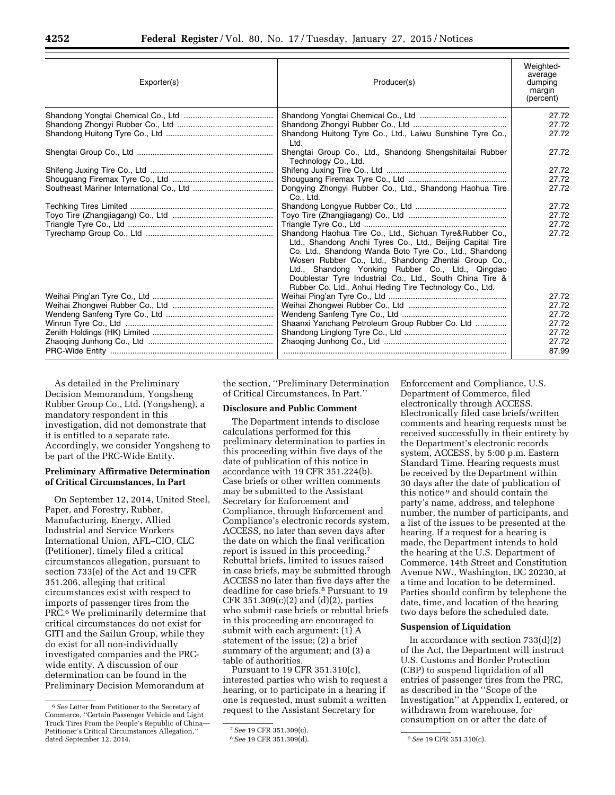| Exporter(s) | Producer(s)                                                                                                                                                                                                                                                                                                                                                                                                        | Weighted-<br>average<br>dumping<br>margin<br>(percent) |
|-------------|--------------------------------------------------------------------------------------------------------------------------------------------------------------------------------------------------------------------------------------------------------------------------------------------------------------------------------------------------------------------------------------------------------------------|--------------------------------------------------------|
|             |                                                                                                                                                                                                                                                                                                                                                                                                                    | 27.72                                                  |
|             |                                                                                                                                                                                                                                                                                                                                                                                                                    | 27.72                                                  |
|             | Shandong Huitong Tyre Co., Ltd., Laiwu Sunshine Tyre Co.,<br>Ltd.                                                                                                                                                                                                                                                                                                                                                  | 27.72                                                  |
|             | Shengtai Group Co., Ltd., Shandong Shengshitailai Rubber<br>Technology Co., Ltd.                                                                                                                                                                                                                                                                                                                                   | 27.72                                                  |
|             |                                                                                                                                                                                                                                                                                                                                                                                                                    | 27.72                                                  |
|             |                                                                                                                                                                                                                                                                                                                                                                                                                    | 27.72                                                  |
|             | Dongying Zhongyi Rubber Co., Ltd., Shandong Haohua Tire<br>Co., Ltd.                                                                                                                                                                                                                                                                                                                                               | 27.72                                                  |
|             |                                                                                                                                                                                                                                                                                                                                                                                                                    | 27.72                                                  |
|             |                                                                                                                                                                                                                                                                                                                                                                                                                    | 27.72                                                  |
|             |                                                                                                                                                                                                                                                                                                                                                                                                                    | 27.72                                                  |
|             | Shandong Haohua Tire Co., Ltd., Sichuan Tyre&Rubber Co.,<br>Ltd., Shandong Anchi Tyres Co., Ltd., Beijing Capital Tire<br>Co. Ltd., Shandong Wanda Boto Tyre Co., Ltd., Shandong<br>Wosen Rubber Co., Ltd., Shandong Zhentai Group Co.,<br>Ltd., Shandong Yonking Rubber Co., Ltd., Qingdao<br>Doublestar Tyre Industrial Co., Ltd., South China Tire &<br>Rubber Co. Ltd., Anhui Heding Tire Technology Co., Ltd. | 27.72                                                  |
|             |                                                                                                                                                                                                                                                                                                                                                                                                                    | 27.72                                                  |
|             |                                                                                                                                                                                                                                                                                                                                                                                                                    | 27.72                                                  |
|             |                                                                                                                                                                                                                                                                                                                                                                                                                    | 27.72                                                  |
|             | Shaanxi Yanchang Petroleum Group Rubber Co. Ltd                                                                                                                                                                                                                                                                                                                                                                    | 27.72                                                  |
|             |                                                                                                                                                                                                                                                                                                                                                                                                                    | 27.72                                                  |
|             |                                                                                                                                                                                                                                                                                                                                                                                                                    | 27.72<br>87.99                                         |

As detailed in the Preliminary Decision Memorandum, Yongsheng Rubber Group Co., Ltd. (Yongsheng), a mandatory respondent in this investigation, did not demonstrate that it is entitled to a separate rate. Accordingly, we consider Yongsheng to be part of the PRC-Wide Entity.

# **Preliminary Affirmative Determination of Critical Circumstances, In Part**

On September 12, 2014, United Steel, Paper, and Forestry, Rubber, Manufacturing, Energy, Allied Industrial and Service Workers International Union, AFL–CIO, CLC (Petitioner), timely filed a critical circumstances allegation, pursuant to section 733(e) of the Act and 19 CFR 351.206, alleging that critical circumstances exist with respect to imports of passenger tires from the PRC.6 We preliminarily determine that critical circumstances do not exist for GITI and the Sailun Group, while they do exist for all non-individually investigated companies and the PRCwide entity. A discussion of our determination can be found in the Preliminary Decision Memorandum at

the section, ''Preliminary Determination of Critical Circumstances, In Part.''

# **Disclosure and Public Comment**

The Department intends to disclose calculations performed for this preliminary determination to parties in this proceeding within five days of the date of publication of this notice in accordance with 19 CFR 351.224(b). Case briefs or other written comments may be submitted to the Assistant Secretary for Enforcement and Compliance, through Enforcement and Compliance's electronic records system, ACCESS, no later than seven days after the date on which the final verification report is issued in this proceeding.7 Rebuttal briefs, limited to issues raised in case briefs, may be submitted through ACCESS no later than five days after the deadline for case briefs.8 Pursuant to 19 CFR 351.309(c)(2) and (d)(2), parties who submit case briefs or rebuttal briefs in this proceeding are encouraged to submit with each argument: (1) A statement of the issue; (2) a brief summary of the argument; and (3) a table of authorities.

Pursuant to 19 CFR 351.310(c), interested parties who wish to request a hearing, or to participate in a hearing if one is requested, must submit a written request to the Assistant Secretary for

Enforcement and Compliance, U.S. Department of Commerce, filed electronically through ACCESS. Electronically filed case briefs/written comments and hearing requests must be received successfully in their entirety by the Department's electronic records system, ACCESS, by 5:00 p.m. Eastern Standard Time. Hearing requests must be received by the Department within 30 days after the date of publication of this notice 9 and should contain the party's name, address, and telephone number, the number of participants, and a list of the issues to be presented at the hearing. If a request for a hearing is made, the Department intends to hold the hearing at the U.S. Department of Commerce, 14th Street and Constitution Avenue NW., Washington, DC 20230, at a time and location to be determined. Parties should confirm by telephone the date, time, and location of the hearing two days before the scheduled date.

# **Suspension of Liquidation**

In accordance with section 733(d)(2) of the Act, the Department will instruct U.S. Customs and Border Protection (CBP) to suspend liquidation of all entries of passenger tires from the PRC, as described in the ''Scope of the Investigation'' at Appendix I, entered, or withdrawn from warehouse, for consumption on or after the date of

<sup>6</sup>*See* Letter from Petitioner to the Secretary of Commerce, ''Certain Passenger Vehicle and Light Truck Tires From the People's Republic of China— Petitioner's Critical Circumstances Allegation,'' dated September 12, 2014.

<sup>7</sup>*See* 19 CFR 351.309(c).

<sup>8</sup>*See* 19 CFR 351.309(d). 9*See* 19 CFR 351.310(c).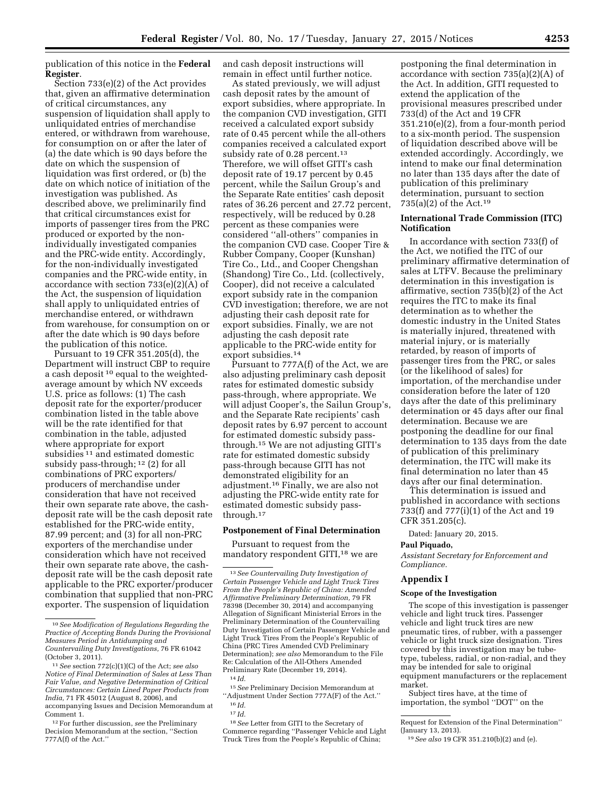publication of this notice in the **Federal Register**.

Section 733(e)(2) of the Act provides that, given an affirmative determination of critical circumstances, any suspension of liquidation shall apply to unliquidated entries of merchandise entered, or withdrawn from warehouse, for consumption on or after the later of (a) the date which is 90 days before the date on which the suspension of liquidation was first ordered, or (b) the date on which notice of initiation of the investigation was published. As described above, we preliminarily find that critical circumstances exist for imports of passenger tires from the PRC produced or exported by the nonindividually investigated companies and the PRC-wide entity. Accordingly, for the non-individually investigated companies and the PRC-wide entity, in accordance with section 733(e)(2)(A) of the Act, the suspension of liquidation shall apply to unliquidated entries of merchandise entered, or withdrawn from warehouse, for consumption on or after the date which is 90 days before the publication of this notice.

Pursuant to 19 CFR 351.205(d), the Department will instruct CBP to require a cash deposit 10 equal to the weightedaverage amount by which NV exceeds U.S. price as follows: (1) The cash deposit rate for the exporter/producer combination listed in the table above will be the rate identified for that combination in the table, adjusted where appropriate for export subsidies<sup>11</sup> and estimated domestic subsidy pass-through; 12 (2) for all combinations of PRC exporters/ producers of merchandise under consideration that have not received their own separate rate above, the cashdeposit rate will be the cash deposit rate established for the PRC-wide entity, 87.99 percent; and (3) for all non-PRC exporters of the merchandise under consideration which have not received their own separate rate above, the cashdeposit rate will be the cash deposit rate applicable to the PRC exporter/producer combination that supplied that non-PRC exporter. The suspension of liquidation

and cash deposit instructions will remain in effect until further notice.

As stated previously, we will adjust cash deposit rates by the amount of export subsidies, where appropriate. In the companion CVD investigation, GITI received a calculated export subsidy rate of 0.45 percent while the all-others companies received a calculated export subsidy rate of 0.28 percent.<sup>13</sup> Therefore, we will offset GITI's cash deposit rate of 19.17 percent by 0.45 percent, while the Sailun Group's and the Separate Rate entities' cash deposit rates of 36.26 percent and 27.72 percent, respectively, will be reduced by 0.28 percent as these companies were considered ''all-others'' companies in the companion CVD case. Cooper Tire & Rubber Company, Cooper (Kunshan) Tire Co., Ltd., and Cooper Chengshan (Shandong) Tire Co., Ltd. (collectively, Cooper), did not receive a calculated export subsidy rate in the companion CVD investigation; therefore, we are not adjusting their cash deposit rate for export subsidies. Finally, we are not adjusting the cash deposit rate applicable to the PRC-wide entity for export subsidies.14

Pursuant to 777A(f) of the Act, we are also adjusting preliminary cash deposit rates for estimated domestic subsidy pass-through, where appropriate. We will adjust Cooper's, the Sailun Group's, and the Separate Rate recipients' cash deposit rates by 6.97 percent to account for estimated domestic subsidy passthrough.15 We are not adjusting GITI's rate for estimated domestic subsidy pass-through because GITI has not demonstrated eligibility for an adjustment.16 Finally, we are also not adjusting the PRC-wide entity rate for estimated domestic subsidy passthrough.17

# **Postponement of Final Determination**

Pursuant to request from the mandatory respondent GITI,18 we are

postponing the final determination in accordance with section 735(a)(2)(A) of the Act. In addition, GITI requested to extend the application of the provisional measures prescribed under 733(d) of the Act and 19 CFR 351.210(e)(2), from a four-month period to a six-month period. The suspension of liquidation described above will be extended accordingly. Accordingly, we intend to make our final determination no later than 135 days after the date of publication of this preliminary determination, pursuant to section 735(a)(2) of the Act.19

# **International Trade Commission (ITC) Notification**

In accordance with section 733(f) of the Act, we notified the ITC of our preliminary affirmative determination of sales at LTFV. Because the preliminary determination in this investigation is affirmative, section 735(b)(2) of the Act requires the ITC to make its final determination as to whether the domestic industry in the United States is materially injured, threatened with material injury, or is materially retarded, by reason of imports of passenger tires from the PRC, or sales (or the likelihood of sales) for importation, of the merchandise under consideration before the later of 120 days after the date of this preliminary determination or 45 days after our final determination. Because we are postponing the deadline for our final determination to 135 days from the date of publication of this preliminary determination, the ITC will make its final determination no later than 45 days after our final determination.

This determination is issued and published in accordance with sections 733(f) and 777(i)(1) of the Act and 19 CFR 351.205(c).

Dated: January 20, 2015.

## **Paul Piquado,**

*Assistant Secretary for Enforcement and Compliance.* 

### **Appendix I**

### **Scope of the Investigation**

The scope of this investigation is passenger vehicle and light truck tires. Passenger vehicle and light truck tires are new pneumatic tires, of rubber, with a passenger vehicle or light truck size designation. Tires covered by this investigation may be tubetype, tubeless, radial, or non-radial, and they may be intended for sale to original equipment manufacturers or the replacement market.

Subject tires have, at the time of importation, the symbol ''DOT'' on the

<sup>10</sup>*See Modification of Regulations Regarding the Practice of Accepting Bonds During the Provisional Measures Period in Antidumping and Countervailing Duty Investigations,* 76 FR 61042 (October 3, 2011).

<sup>11</sup>*See* section 772(c)(1)(C) of the Act; *see also Notice of Final Determination of Sales at Less Than Fair Value, and Negative Determination of Critical Circumstances: Certain Lined Paper Products from India,* 71 FR 45012 (August 8, 2006), and accompanying Issues and Decision Memorandum at Comment 1.

<sup>12</sup>For further discussion, *see* the Preliminary Decision Memorandum at the section, ''Section 777A(f) of the Act.''

<sup>13</sup>*See Countervailing Duty Investigation of Certain Passenger Vehicle and Light Truck Tires From the People's Republic of China: Amended Affirmative Preliminary Determination,* 79 FR 78398 (December 30, 2014) and accompanying Allegation of Significant Ministerial Errors in the Preliminary Determination of the Countervailing Duty Investigation of Certain Passenger Vehicle and Light Truck Tires From the People's Republic of China (PRC Tires Amended CVD Preliminary Determination); *see also* Memorandum to the File Re: Calculation of the All-Others Amended Preliminary Rate (December 19, 2014). 14 *Id.* 

<sup>15</sup>*See* Preliminary Decision Memorandum at ''Adjustment Under Section 777A(F) of the Act.'' 16 *Id.* 

<sup>17</sup> *Id.* 

<sup>18</sup>*See* Letter from GITI to the Secretary of Commerce regarding ''Passenger Vehicle and Light Truck Tires from the People's Republic of China;

Request for Extension of the Final Determination'' (January 13, 2013).

<sup>19</sup>*See also* 19 CFR 351.210(b)(2) and (e).